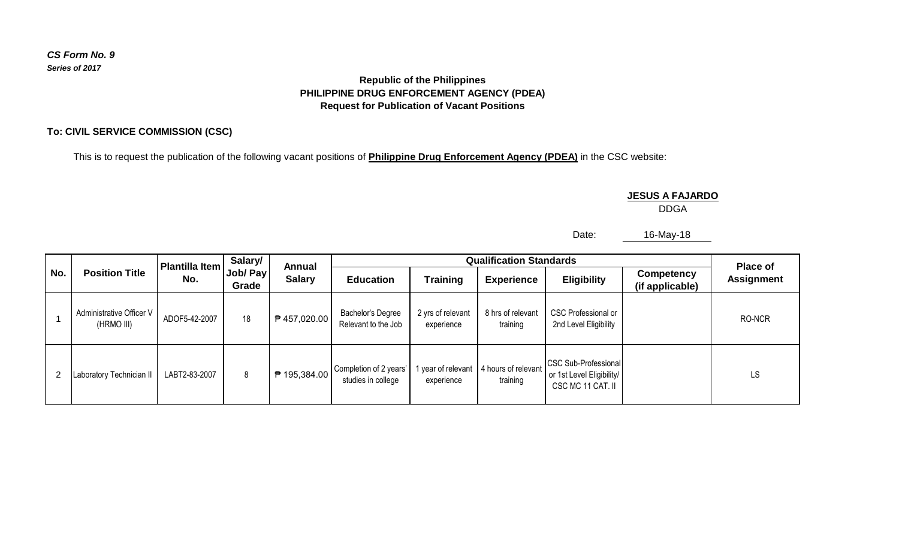## **Republic of the Philippines PHILIPPINE DRUG ENFORCEMENT AGENCY (PDEA) Request for Publication of Vacant Positions**

## **To: CIVIL SERVICE COMMISSION (CSC)**

This is to request the publication of the following vacant positions of **Philippine Drug Enforcement Agency (PDEA)** in the CSC website:

**JESUS A FAJARDO**

DDGA

Date: 16-May-18

| No. | <b>Position Title</b>                  | Plantilla Item<br>No. | Salary/<br>Job/ Pay<br>Grade | Annual<br><b>Salary</b> | <b>Qualification Standards</b>               |                                  |                                 |                                                                               |                                      | <b>Place of</b>   |
|-----|----------------------------------------|-----------------------|------------------------------|-------------------------|----------------------------------------------|----------------------------------|---------------------------------|-------------------------------------------------------------------------------|--------------------------------------|-------------------|
|     |                                        |                       |                              |                         | <b>Education</b>                             | Training                         | <b>Experience</b>               | <b>Eligibility</b>                                                            | <b>Competency</b><br>(if applicable) | <b>Assignment</b> |
|     | Administrative Officer V<br>(HRMO III) | ADOF5-42-2007         | 18                           | ₱ 457,020.00            | Bachelor's Degree<br>Relevant to the Job     | 2 yrs of relevant<br>experience  | 8 hrs of relevant<br>training   | CSC Professional or<br>2nd Level Eligibility                                  |                                      | RO-NCR            |
| 2   | Laboratory Technician II               | LABT2-83-2007         | 8                            | ₱ 195,384.00            | Completion of 2 years'<br>studies in college | 1 year of relevant<br>experience | 4 hours of relevant<br>training | <b>CSC Sub-Professional</b><br>or 1st Level Eligibility/<br>CSC MC 11 CAT. II |                                      | LS                |

*CS Form No. 9 Series of 2017*